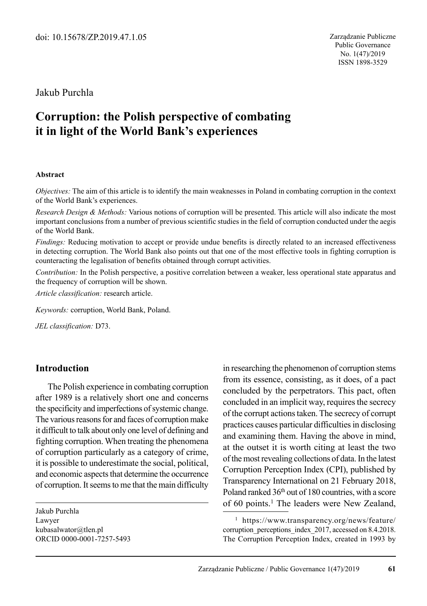### Jakub Purchla

# **Corruption: the Polish perspective of combating it in light of the World Bank's experiences**

#### **Abstract**

*Objectives:* The aim of this article is to identify the main weaknesses in Poland in combating corruption in the context of the World Bank's experiences.

*Research Design & Methods:* Various notions of corruption will be presented. This article will also indicate the most important conclusions from a number of previous scientific studies in the field of corruption conducted under the aegis of the World Bank.

*Findings:* Reducing motivation to accept or provide undue benefits is directly related to an increased effectiveness in detecting corruption. The World Bank also points out that one of the most effective tools in fighting corruption is counteracting the legalisation of benefits obtained through corrupt activities.

*Contribution:* In the Polish perspective, a positive correlation between a weaker, less operational state apparatus and the frequency of corruption will be shown.

*Article classification:* research article.

*Keywords:* corruption, World Bank, Poland.

*JEL classification:* D73.

#### **Introduction**

The Polish experience in combating corruption after 1989 is a relatively short one and concerns the specificity and imperfections of systemic change. The various reasons for and faces of corruption make it difficult to talk about only one level of defining and fighting corruption. When treating the phenomena of corruption particularly as a category of crime, it is possible to underestimate the social, political, and economic aspects that determine the occurrence of corruption. It seems to me that the main difficulty

Jakub Purchla Lawyer kubasalwator@tlen.pl ORCID 0000-0001-7257-5493 in researching the phenomenon of corruption stems from its essence, consisting, as it does, of a pact concluded by the perpetrators. This pact, often concluded in an implicit way, requires the secrecy of the corrupt actions taken. The secrecy of corrupt practices causes particular difficulties in disclosing and examining them. Having the above in mind, at the outset it is worth citing at least the two of the most revealing collections of data. In the latest Corruption Perception Index (CPI), published by Transparency International on 21 February 2018, Poland ranked 36<sup>th</sup> out of 180 countries, with a score of 60 points.<sup>1</sup> The leaders were New Zealand,

<sup>1</sup> https://www.transparency.org/news/feature/ corruption perceptions index 2017, accessed on 8.4.2018. The Corruption Perception Index, created in 1993 by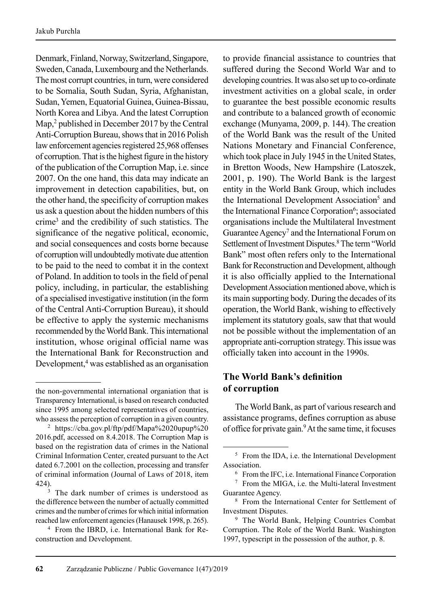Denmark, Finland, Norway, Switzerland, Singapore, Sweden, Canada, Luxembourg and the Netherlands. The most corrupt countries, in turn, were considered to be Somalia, South Sudan, Syria, Afghanistan, Sudan, Yemen, Equatorial Guinea, Guinea-Bissau, North Korea and Libya. And the latest Corruption Map,<sup>2</sup> published in December 2017 by the Central Anti-Corruption Bureau, shows that in 2016 Polish law enforcement agencies registered 25,968 offenses of corruption. That is the highest figure in the history of the publication of the Corruption Map, i.e. since 2007. On the one hand, this data may indicate an improvement in detection capabilities, but, on the other hand, the specificity of corruption makes us ask a question about the hidden numbers of this crime3 and the credibility of such statistics. The significance of the negative political, economic, and social consequences and costs borne because of corruption will undoubtedly motivate due attention to be paid to the need to combat it in the context of Poland. In addition to tools in the field of penal policy, including, in particular, the establishing of a specialised investigative institution (in the form of the Central Anti-Corruption Bureau), it should be effective to apply the systemic mechanisms recommended by the World Bank. This international institution, whose original official name was the International Bank for Reconstruction and Development,4 was established as an organisation to provide financial assistance to countries that suffered during the Second World War and to developing countries. It was also set up to co-ordinate investment activities on a global scale, in order to guarantee the best possible economic results and contribute to a balanced growth of economic exchange (Munyama, 2009, p. 144). The creation of the World Bank was the result of the United Nations Monetary and Financial Conference, which took place in July 1945 in the United States, in Bretton Woods, New Hampshire (Latoszek, 2001, p. 190). The World Bank is the largest entity in the World Bank Group, which includes the International Development Association<sup>5</sup> and the International Finance Corporation<sup>6</sup>; associated organisations include the Multilateral Investment Guarantee Agency<sup>7</sup> and the International Forum on Settlement of Investment Disputes.<sup>8</sup> The term "World Bank" most often refers only to the International Bank for Reconstruction and Development, although it is also officially applied to the International Development Association mentioned above, which is its main supporting body. During the decades of its operation, the World Bank, wishing to effectively implement its statutory goals, saw that that would not be possible without the implementation of an appropriate anti-corruption strategy. This issue was officially taken into account in the 1990s.

# **The World Bank's definition of corruption**

The World Bank, as part of various research and assistance programs, defines corruption as abuse of office for private gain.<sup>9</sup> At the same time, it focuses

the non-governmental international organiation that is Transparency International, is based on research conducted since 1995 among selected representatives of countries, who assess the perception of corruption in a given country.

<sup>2</sup> https://cba.gov.pl/ftp/pdf/Mapa%2020upup%20 2016.pdf, accessed on 8.4.2018. The Corruption Map is based on the registration data of crimes in the National Criminal Information Center, created pursuant to the Act dated 6.7.2001 on the collection, processing and transfer of criminal information (Journal of Laws of 2018, item 424).

The dark number of crimes is understood as the difference between the number of actually committed crimes and the number of crimes for which initial information reached law enforcement agencies (Hanausek 1998, p. 265).

<sup>&</sup>lt;sup>4</sup> From the IBRD, i.e. International Bank for Reconstruction and Development.

<sup>&</sup>lt;sup>5</sup> From the IDA, i.e. the International Development Association.

<sup>6</sup> From the IFC, i.e. International Finance Corporation <sup>7</sup> From the MIGA, i.e. the Multi-lateral Investment Guarantee Agency.

<sup>8</sup> From the International Center for Settlement of Investment Disputes.

<sup>9</sup> The World Bank, Helping Countries Combat Corruption. The Role of the World Bank. Washington 1997, typescript in the possession of the author, p. 8.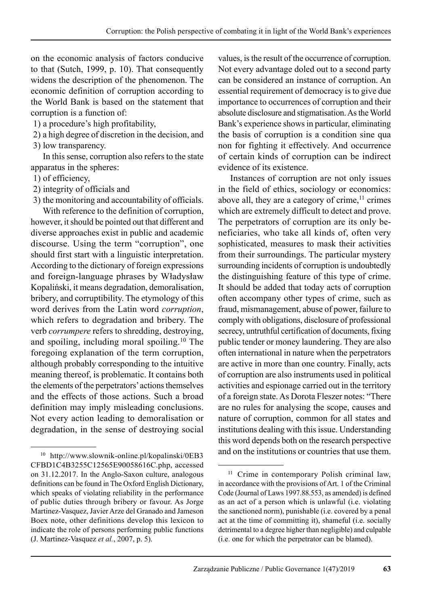on the economic analysis of factors conducive to that (Sutch, 1999, p. 10). That consequently widens the description of the phenomenon. The economic definition of corruption according to the World Bank is based on the statement that corruption is a function of:

1) a procedure's high profitability,

2) a high degree of discretion in the decision, and

3) low transparency.

In this sense, corruption also refers to the state apparatus in the spheres:

1) of efficiency,

2) integrity of officials and

3) the monitoring and accountability of officials.

With reference to the definition of corruption, however, it should be pointed out that different and diverse approaches exist in public and academic discourse. Using the term "corruption", one should first start with a linguistic interpretation. According to the dictionary of foreign expressions and foreign-language phrases by Władysław Kopaliński, it means degradation, demoralisation, bribery, and corruptibility. The etymology of this word derives from the Latin word *corruption*, which refers to degradation and bribery. The verb *corrumpere* refers to shredding, destroying, and spoiling, including moral spoiling.10 The foregoing explanation of the term corruption, although probably corresponding to the intuitive meaning thereof, is problematic. It contains both the elements of the perpetrators' actions themselves and the effects of those actions. Such a broad definition may imply misleading conclusions. Not every action leading to demoralisation or degradation, in the sense of destroying social values, is the result of the occurrence of corruption. Not every advantage doled out to a second party can be considered an instance of corruption. An essential requirement of democracy is to give due importance to occurrences of corruption and their absolute disclosure and stigmatisation. As the World Bank's experience shows in particular, eliminating the basis of corruption is a condition sine qua non for fighting it effectively. And occurrence of certain kinds of corruption can be indirect evidence of its existence.

Instances of corruption are not only issues in the field of ethics, sociology or economics: above all, they are a category of crime, $<sup>11</sup>$  crimes</sup> which are extremely difficult to detect and prove. The perpetrators of corruption are its only bene ficiaries, who take all kinds of, often very sophisticated, measures to mask their activities from their surroundings. The particular mystery surrounding incidents of corruption is undoubtedly the distinguishing feature of this type of crime. It should be added that today acts of corruption often accompany other types of crime, such as fraud, mismanagement, abuse of power, failure to comply with obligations, disclosure of professional secrecy, untruthful certification of documents, fixing public tender or money laundering. They are also often international in nature when the perpetrators are active in more than one country. Finally, acts of corruption are also instruments used in political activities and espionage carried out in the territory of a foreign state. As Dorota Fleszer notes: "There are no rules for analysing the scope, causes and nature of corruption, common for all states and institutions dealing with this issue. Understanding this word depends both on the research perspective and on the institutions or countries that use them.

 $10$  http://www.slownik-online.pl/kopalinski/0EB3 CFBD1C4B3255C12565E90058616C.php, accessed on 31.12.2017. In the Anglo-Saxon culture, analogous definitions can be found in The Oxford English Dictionary, which speaks of violating reliability in the performance of public duties through bribery or favour. As Jorge Martinez-Vasquez, Javier Arze del Granado and Jameson Boex note, other definitions develop this lexicon to indicate the role of persons performing public functions (J. Martinez-Vasquez *et al.*, 2007, p. 5).

<sup>&</sup>lt;sup>11</sup> Crime in contemporary Polish criminal law, in accordance with the provisions of Art. 1 of the Criminal Code (Journal of Laws 1997.88.553, as amended) is defined as an act of a person which is unlawful (i.e. violating the sanctioned norm), punishable (i.e. covered by a penal act at the time of committing it), shameful (i.e. socially detrimental to a degree higher than negligible) and culpable (i.e. one for which the perpetrator can be blamed).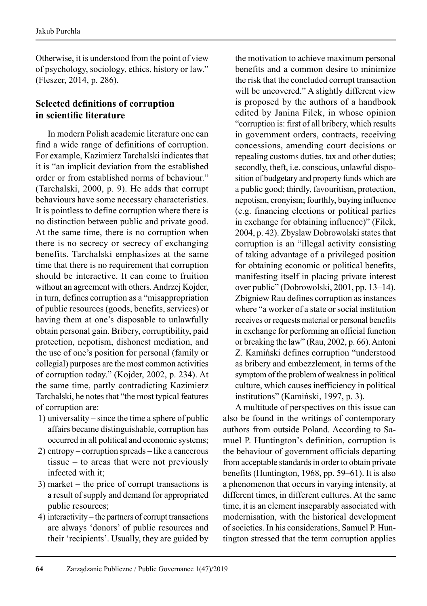Otherwise, it is understood from the point of view of psychology, sociology, ethics, history or law." (Fleszer, 2014, p. 286).

### **Selected definitions of corruption in scientific literature**

In modern Polish academic literature one can find a wide range of definitions of corruption. For example, Kazimierz Tarchalski indicates that it is "an implicit deviation from the established order or from established norms of behaviour." (Tarchalski, 2000, p. 9). He adds that corrupt behaviours have some necessary characteristics. It is pointless to define corruption where there is no distinction between public and private good. At the same time, there is no corruption when there is no secrecy or secrecy of exchanging benefits. Tarchalski emphasizes at the same time that there is no requirement that corruption should be interactive. It can come to fruition without an agreement with others. Andrzej Kojder, in turn, defines corruption as a "misappropriation of public resources (goods, benefits, services) or having them at one's disposable to unlawfully obtain personal gain. Bribery, corruptibility, paid protection, nepotism, dishonest mediation, and the use of one's position for personal (family or collegial) purposes are the most common activities of corruption today." (Kojder, 2002, p. 234). At the same time, partly contradicting Kazimierz Tarchalski, he notes that "the most typical features of corruption are:

- 1) universality since the time a sphere of public affairs became distinguishable, corruption has occurred in all political and economic systems;
- 2) entropy corruption spreads like a cancerous tissue – to areas that were not previously infected with it;
- 3) market the price of corrupt transactions is a result of supply and demand for appropriated public resources;
- 4) interactivity the partners of corrupt transactions are always 'donors' of public resources and their 'recipients'. Usually, they are guided by

the motivation to achieve maximum personal benefits and a common desire to minimize the risk that the concluded corrupt transaction will be uncovered." A slightly different view is proposed by the authors of a handbook edited by Janina Filek, in whose opinion "corruption is: first of all bribery, which results in government orders, contracts, receiving concessions, amending court decisions or repealing customs duties, tax and other duties; secondly, theft, i.e. conscious, unlawful disposition of budgetary and property funds which are a public good; thirdly, favouritism, protection, nepotism, cronyism; fourthly, buying influence (e.g. financing elections or political parties in exchange for obtaining influence)" (Filek, 2004, p. 42). Zbysław Dobrowolski states that corruption is an "illegal activity consisting of taking advantage of a privileged position for obtaining economic or political benefits, manifesting itself in placing private interest over public" (Dobrowolski, 2001, pp. 13–14). Zbigniew Rau defines corruption as instances where "a worker of a state or social institution receives or requests material or personal benefits in exchange for performing an official function or breaking the law" (Rau, 2002, p. 66). Antoni Z. Kamiński defines corruption "understood as bribery and embezzlement, in terms of the symptom of the problem of weakness in political culture, which causes inefficiency in political institutions" (Kamiński, 1997, p. 3).

A multitude of perspectives on this issue can also be found in the writings of contemporary authors from outside Poland. According to Samuel P. Huntington's definition, corruption is the behaviour of government officials departing from acceptable standards in order to obtain private benefits (Huntington, 1968, pp. 59–61). It is also a phenomenon that occurs in varying intensity, at different times, in different cultures. At the same time, it is an element inseparably associated with modernisation, with the historical development of societies. In his considerations, Samuel P. Huntington stressed that the term corruption applies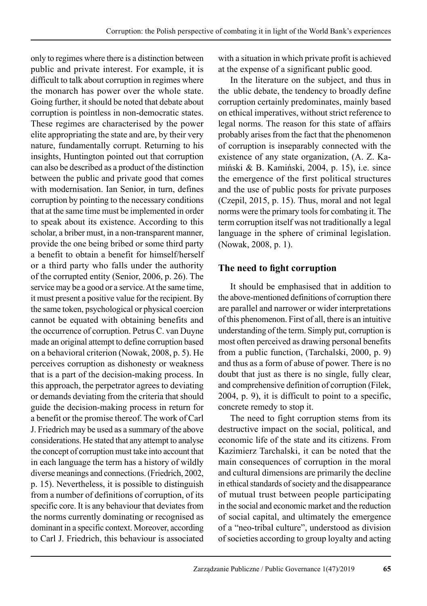only to regimes where there is a distinction between public and private interest. For example, it is difficult to talk about corruption in regimes where the monarch has power over the whole state. Going further, it should be noted that debate about corruption is pointless in non-democratic states. These regimes are characterised by the power elite appropriating the state and are, by their very nature, fundamentally corrupt. Returning to his insights, Huntington pointed out that corruption can also be described as a product of the distinction between the public and private good that comes with modernisation. Ian Senior, in turn, defines corruption by pointing to the necessary conditions that at the same time must be implemented in order to speak about its existence. According to this scholar, a briber must, in a non-transparent manner, provide the one being bribed or some third party a benefit to obtain a benefit for himself/herself or a third party who falls under the authority of the corrupted entity (Senior, 2006, p. 26). The service may be a good or a service. At the same time, it must present a positive value for the recipient. By the same token, psychological or physical coercion cannot be equated with obtaining benefits and the occurrence of corruption. Petrus C. van Duyne made an original attempt to define corruption based on a behavioral criterion (Nowak, 2008, p. 5). He perceives corruption as dishonesty or weakness that is a part of the decision-making process. In this approach, the perpetrator agrees to deviating or demands deviating from the criteria that should guide the decision-making process in return for a benefit or the promise thereof. The work of Carl J. Friedrich may be used as a summary of the above considerations. He stated that any attempt to analyse the concept of corruption must take into account that in each language the term has a history of wildly diverse meanings and connections. (Friedrich, 2002, p. 15). Nevertheless, it is possible to distinguish from a number of definitions of corruption, of its specific core. It is any behaviour that deviates from the norms currently dominating or recognised as dominant in a specific context. Moreover, according to Carl J. Friedrich, this behaviour is associated with a situation in which private profit is achieved at the expense of a significant public good.

In the literature on the subject, and thus in the ublic debate, the tendency to broadly define corruption certainly predominates, mainly based on ethical imperatives, without strict reference to legal norms. The reason for this state of affairs probably arises from the fact that the phenomenon of corruption is inseparably connected with the existence of any state organization, (A. Z. Kamiński & B. Kamiński, 2004, p. 15), i.e. since the emergence of the first political structures and the use of public posts for private purposes (Czepil, 2015, p. 15). Thus, moral and not legal norms were the primary tools for combating it. The term corruption itself was not traditionally a legal language in the sphere of criminal legislation. (Nowak, 2008, p. 1).

### **The need to fight corruption**

It should be emphasised that in addition to the above-mentioned definitions of corruption there are parallel and narrower or wider interpretations of this phenomenon. First of all, there is an intuitive understanding of the term. Simply put, corruption is most often perceived as drawing personal benefits from a public function, (Tarchalski, 2000, p. 9) and thus as a form of abuse of power. There is no doubt that just as there is no single, fully clear, and comprehensive definition of corruption (Filek, 2004, p. 9), it is difficult to point to a specific, concrete remedy to stop it.

The need to fight corruption stems from its destructive impact on the social, political, and economic life of the state and its citizens. From Kazimierz Tarchalski, it can be noted that the main consequences of corruption in the moral and cultural dimensions are primarily the decline in ethical standards of society and the disappearance of mutual trust between people participating in the social and economic market and the reduction of social capital, and ultimately the emergence of a "neo-tribal culture", understood as division of societies according to group loyalty and acting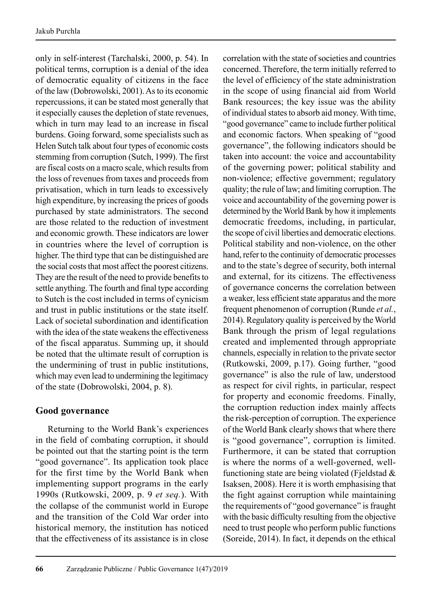only in self-interest (Tarchalski, 2000, p. 54). In political terms, corruption is a denial of the idea of democratic equality of citizens in the face of the law (Dobrowolski, 2001). As to its economic repercussions, it can be stated most generally that it especially causes the depletion of state revenues, which in turn may lead to an increase in fiscal burdens. Going forward, some specialists such as Helen Sutch talk about four types of economic costs stemming from corruption (Sutch, 1999). The first are fiscal costs on a macro scale, which results from the loss of revenues from taxes and proceeds from privatisation, which in turn leads to excessively high expenditure, by increasing the prices of goods purchased by state administrators. The second are those related to the reduction of investment and economic growth. These indicators are lower in countries where the level of corruption is higher. The third type that can be distinguished are the social costs that most affect the poorest citizens. They are the result of the need to provide benefits to settle anything. The fourth and final type according to Sutch is the cost included in terms of cynicism and trust in public institutions or the state itself. Lack of societal subordination and identification with the idea of the state weakens the effectiveness of the fiscal apparatus. Summing up, it should be noted that the ultimate result of corruption is the undermining of trust in public institutions, which may even lead to undermining the legitimacy of the state (Dobrowolski, 2004, p. 8).

# **Good governance**

Returning to the World Bank's experiences in the field of combating corruption, it should be pointed out that the starting point is the term "good governance". Its application took place for the first time by the World Bank when implementing support programs in the early 1990s (Rutkowski, 2009, p. 9 *et seq.*). With the collapse of the communist world in Europe and the transition of the Cold War order into historical memory, the institution has noticed that the effectiveness of its assistance is in close

correlation with the state of societies and countries concerned. Therefore, the term initially referred to the level of efficiency of the state administration in the scope of using financial aid from World Bank resources; the key issue was the ability of individual states to absorb aid money. With time, "good governance" came to include further political and economic factors. When speaking of "good governance", the following indicators should be taken into account: the voice and accountability of the governing power; political stability and non-violence; effective government; regulatory quality; the rule of law; and limiting corruption. The voice and accountability of the governing power is determined by the World Bank by how it implements democratic freedoms, including, in particular, the scope of civil liberties and democratic elections. Political stability and non-violence, on the other hand, refer to the continuity of democratic processes and to the state's degree of security, both internal and external, for its citizens. The effectiveness of governance concerns the correlation between a weaker, less efficient state apparatus and the more frequent phenomenon of corruption (Runde *et al.*, 2014). Regulatory quality is perceived by the World Bank through the prism of legal regulations created and implemented through appropriate channels, especially in relation to the private sector (Rutkowski, 2009, p.17). Going further, "good governance" is also the rule of law, understood as respect for civil rights, in particular, respect for property and economic freedoms. Finally, the corruption reduction index mainly affects the risk-perception of corruption. The experience of the World Bank clearly shows that where there is "good governance", corruption is limited. Furthermore, it can be stated that corruption is where the norms of a well-governed, wellfunctioning state are being violated (Fjeldstad & Isaksen, 2008). Here it is worth emphasising that the fight against corruption while maintaining the requirements of "good governance" is fraught with the basic difficulty resulting from the objective need to trust people who perform public functions (Soreide, 2014). In fact, it depends on the ethical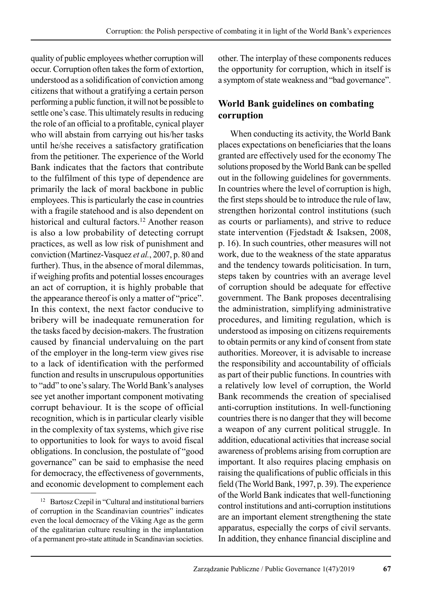quality of public employees whether corruption will occur. Corruption often takes the form of extortion, understood as a solidification of conviction among citizens that without a gratifying a certain person performing a public function, it will not be possible to settle one's case. This ultimately results in reducing the role of an official to a profitable, cynical player who will abstain from carrying out his/her tasks until he/she receives a satisfactory gratification from the petitioner. The experience of the World Bank indicates that the factors that contribute to the fulfilment of this type of dependence are primarily the lack of moral backbone in public employees. This is particularly the case in countries with a fragile statehood and is also dependent on historical and cultural factors.<sup>12</sup> Another reason is also a low probability of detecting corrupt practices, as well as low risk of punishment and conviction (Martinez-Vasquez *et al.*, 2007, p. 80 and further). Thus, in the absence of moral dilemmas, if weighing profits and potential losses encourages an act of corruption, it is highly probable that the appearance thereof is only a matter of "price". In this context, the next factor conducive to bribery will be inadequate remuneration for the tasks faced by decision-makers. The frustration caused by financial undervaluing on the part of the employer in the long-term view gives rise to a lack of identification with the performed function and results in unscrupulous opportunities to "add" to one's salary. The World Bank's analyses see yet another important component motivating corrupt behaviour. It is the scope of official recognition, which is in particular clearly visible in the complexity of tax systems, which give rise to opportunities to look for ways to avoid fiscal obligations. In conclusion, the postulate of "good governance" can be said to emphasise the need for democracy, the effectiveness of governments, and economic development to complement each other. The interplay of these components reduces the opportunity for corruption, which in itself is a symptom of state weakness and "bad governance".

# **World Bank guidelines on combating corruption**

When conducting its activity, the World Bank places expectations on beneficiaries that the loans granted are effectively used for the economy The solutions proposed by the World Bank can be spelled out in the following guidelines for governments. In countries where the level of corruption is high, the first steps should be to introduce the rule of law, strengthen horizontal control institutions (such as courts or parliaments), and strive to reduce state intervention (Fjedstadt & Isaksen, 2008, p. 16). In such countries, other measures will not work, due to the weakness of the state apparatus and the tendency towards politicisation. In turn, steps taken by countries with an average level of corruption should be adequate for effective government. The Bank proposes decentralising the administration, simplifying administrative procedures, and limiting regulation, which is understood as imposing on citizens requirements to obtain permits or any kind of consent from state authorities. Moreover, it is advisable to increase the responsibility and accountability of officials as part of their public functions. In countries with a relatively low level of corruption, the World Bank recommends the creation of specialised anti-corruption institutions. In well-functioning countries there is no danger that they will become a weapon of any current political struggle. In addition, educational activities that increase social awareness of problems arising from corruption are important. It also requires placing emphasis on raising the qualifications of public officials in this field (The World Bank, 1997, p. 39). The experience of the World Bank indicates that well-functioning control institutions and anti-corruption institutions are an important element strengthening the state apparatus, especially the corps of civil servants. In addition, they enhance financial discipline and

<sup>12</sup> Bartosz Czepil in "Cultural and institutional barriers of corruption in the Scandinavian countries" indicates even the local democracy of the Viking Age as the germ of the egalitarian culture resulting in the implantation of a permanent pro-state attitude in Scandinavian societies.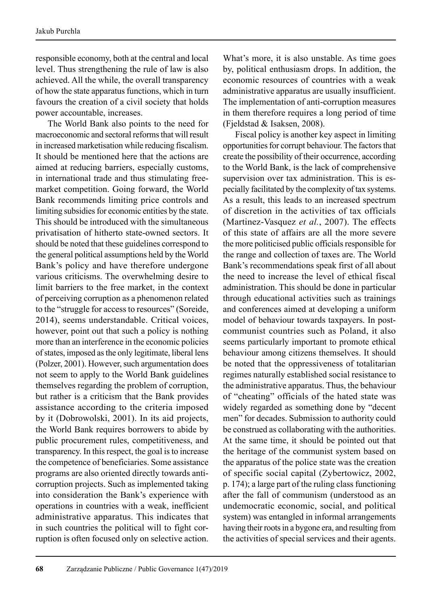responsible economy, both at the central and local level. Thus strengthening the rule of law is also achieved. All the while, the overall transparency of how the state apparatus functions, which in turn favours the creation of a civil society that holds power accountable, increases.

The World Bank also points to the need for macroeconomic and sectoral reforms that will result in increased marketisation while reducing fiscalism. It should be mentioned here that the actions are aimed at reducing barriers, especially customs, in international trade and thus stimulating freemarket competition. Going forward, the World Bank recommends limiting price controls and limiting subsidies for economic entities by the state. This should be introduced with the simultaneous privatisation of hitherto state-owned sectors. It should be noted that these guidelines correspond to the general political assumptions held by the World Bank's policy and have therefore undergone various criticisms. The overwhelming desire to limit barriers to the free market, in the context of perceiving corruption as a phenomenon related to the "struggle for access to resources" (Soreide, 2014), seems understandable. Critical voices, however, point out that such a policy is nothing more than an interference in the economic policies of states, imposed as the only legitimate, liberal lens (Polzer, 2001). However, such argumentation does not seem to apply to the World Bank guidelines themselves regarding the problem of corruption, but rather is a criticism that the Bank provides assistance according to the criteria imposed by it (Dobrowolski, 2001). In its aid projects, the World Bank requires borrowers to abide by public procurement rules, competitiveness, and transparency. In this respect, the goal is to increase the competence of beneficiaries. Some assistance programs are also oriented directly towards anticorruption projects. Such as implemented taking into consideration the Bank's experience with operations in countries with a weak, inefficient administrative apparatus. This indicates that in such countries the political will to fight corruption is often focused only on selective action.

What's more, it is also unstable. As time goes by, political enthusiasm drops. In addition, the economic resources of countries with a weak administrative apparatus are usually insufficient. The implementation of anti-corruption measures in them therefore requires a long period of time (Fjeldstad & Isaksen, 2008).

Fiscal policy is another key aspect in limiting opportunities for corrupt behaviour. The factors that create the possibility of their occurrence, according to the World Bank, is the lack of comprehensive supervision over tax administration. This is especially facilitated by the complexity of tax systems. As a result, this leads to an increased spectrum of discretion in the activities of tax officials (Martinez-Vasquez *et al.*, 2007). The effects of this state of affairs are all the more severe the more politicised public officials responsible for the range and collection of taxes are. The World Bank's recommendations speak first of all about the need to increase the level of ethical fiscal administration. This should be done in particular through educational activities such as trainings and conferences aimed at developing a uniform model of behaviour towards taxpayers. In postcommunist countries such as Poland, it also seems particularly important to promote ethical behaviour among citizens themselves. It should be noted that the oppressiveness of totalitarian regimes naturally established social resistance to the administrative apparatus. Thus, the behaviour of "cheating" officials of the hated state was widely regarded as something done by "decent men" for decades. Submission to authority could be construed as collaborating with the authorities. At the same time, it should be pointed out that the heritage of the communist system based on the apparatus of the police state was the creation of specific social capital (Zybertowicz, 2002, p. 174); a large part of the ruling class functioning after the fall of communism (understood as an undemocratic economic, social, and political system) was entangled in informal arrangements having their roots in a bygone era, and resulting from the activities of special services and their agents.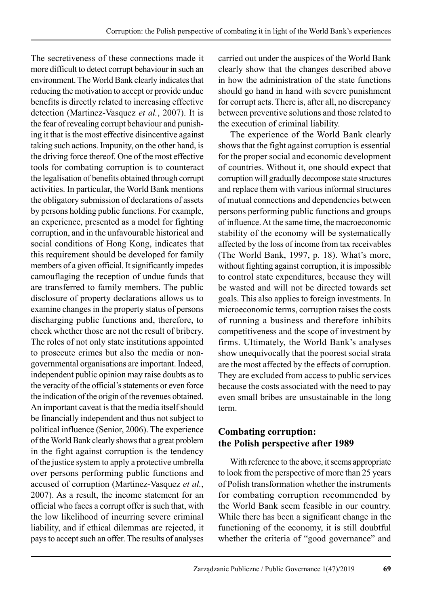The secretiveness of these connections made it more difficult to detect corrupt behaviour in such an environment. The World Bank clearly indicates that reducing the motivation to accept or provide undue benefits is directly related to increasing effective detection (Martinez-Vasquez *et al.*, 2007). It is the fear of revealing corrupt behaviour and punishing it that is the most effective disincentive against taking such actions. Impunity, on the other hand, is the driving force thereof. One of the most effective tools for combating corruption is to counteract the legalisation of benefits obtained through corrupt activities. In particular, the World Bank mentions the obligatory submission of declarations of assets by persons holding public functions. For example, an experience, presented as a model for fighting corruption, and in the unfavourable historical and social conditions of Hong Kong, indicates that this requirement should be developed for family members of a given official. It significantly impedes camouflaging the reception of undue funds that are transferred to family members. The public disclosure of property declarations allows us to examine changes in the property status of persons discharging public functions and, therefore, to check whether those are not the result of bribery. The roles of not only state institutions appointed to prosecute crimes but also the media or nongovernmental organisations are important. Indeed, independent public opinion may raise doubts as to the veracity of the official's statements or even force the indication of the origin of the revenues obtained. An important caveat is that the media itself should be financially independent and thus not subject to political influence (Senior, 2006). The experience of the World Bank clearly shows that a great problem in the fight against corruption is the tendency of the justice system to apply a protective umbrella over persons performing public functions and accused of corruption (Martinez-Vasquez *et al.*, 2007). As a result, the income statement for an official who faces a corrupt offer is such that, with the low likelihood of incurring severe criminal liability, and if ethical dilemmas are rejected, it pays to accept such an offer. The results of analyses carried out under the auspices of the World Bank clearly show that the changes described above in how the administration of the state functions should go hand in hand with severe punishment for corrupt acts. There is, after all, no discrepancy between preventive solutions and those related to the execution of criminal liability.

The experience of the World Bank clearly shows that the fight against corruption is essential for the proper social and economic development of countries. Without it, one should expect that corruption will gradually decompose state structures and replace them with various informal structures of mutual connections and dependencies between persons performing public functions and groups of influence. At the same time, the macroeconomic stability of the economy will be systematically affected by the loss of income from tax receivables (The World Bank, 1997, p. 18). What's more, without fighting against corruption, it is impossible to control state expenditures, because they will be wasted and will not be directed towards set goals. This also applies to foreign investments. In microeconomic terms, corruption raises the costs of running a business and therefore inhibits competitiveness and the scope of investment by firms. Ultimately, the World Bank's analyses show unequivocally that the poorest social strata are the most affected by the effects of corruption. They are excluded from access to public services because the costs associated with the need to pay even small bribes are unsustainable in the long term.

# **Combating corruption: the Polish perspective after 1989**

With reference to the above, it seems appropriate to look from the perspective of more than 25 years of Polish transformation whether the instru ments for combating corruption recommended by the World Bank seem feasible in our country. While there has been a significant change in the functioning of the economy, it is still doubtful whether the criteria of "good governance" and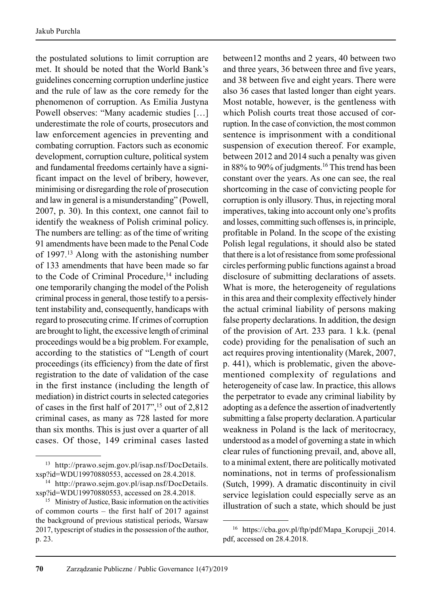the postulated solutions to limit corruption are met. It should be noted that the World Bank's guidelines concerning corruption underline justice and the rule of law as the core remedy for the phenomenon of corruption. As Emilia Justyna Powell observes: "Many academic studies […] underestimate the role of courts, prosecutors and law enforcement agencies in preventing and combating corruption. Factors such as economic development, corruption culture, political system and fundamental freedoms certainly have a significant impact on the level of bribery, however, minimising or disregarding the role of prosecution and law in general is a misunderstanding" (Powell, 2007, p. 30). In this context, one cannot fail to identify the weakness of Polish criminal policy. The numbers are telling: as of the time of writing 91 amendments have been made to the Penal Code of 1997.13 Along with the astonishing number of 133 amendments that have been made so far to the Code of Criminal Procedure, $14$  including one temporarily changing the model of the Polish criminal process in general, those testify to a persistent instability and, consequently, handicaps with regard to prosecuting crime. If crimes of corruption are brought to light, the excessive length of criminal proceedings would be a big problem. For example, according to the statistics of "Length of court proceedings (its efficiency) from the date of first registration to the date of validation of the case in the first instance (including the length of mediation) in district courts in selected categories of cases in the first half of 2017",15 out of 2,812 criminal cases, as many as 728 lasted for more than six months. This is just over a quarter of all cases. Of those, 149 criminal cases lasted

between12 months and 2 years, 40 between two and three years, 36 between three and five years, and 38 between five and eight years. There were also 36 cases that lasted longer than eight years. Most notable, however, is the gentleness with which Polish courts treat those accused of corruption. In the case of conviction, the most common sentence is imprisonment with a conditional suspension of execution thereof. For example, between 2012 and 2014 such a penalty was given in 88% to 90% of judgments.<sup>16</sup> This trend has been constant over the years. As one can see, the real shortcoming in the case of convicting people for corruption is only illusory. Thus, in rejecting moral imperatives, taking into account only one's profits and losses, committing such offenses is, in principle, profitable in Poland. In the scope of the existing Polish legal regulations, it should also be stated that there is a lot of resistance from some professional circles performing public functions against a broad disclosure of submitting declarations of assets. What is more, the heterogeneity of regulations in this area and their complexity effectively hinder the actual criminal liability of persons making false property declarations. In addition, the design of the provision of Art. 233 para. 1 k.k. (penal code) providing for the penalisation of such an act requires proving intentionality (Marek, 2007, p. 441), which is problematic, given the abovementioned complexity of regulations and heterogeneity of case law. In practice, this allows the perpetrator to evade any criminal liability by adopting as a defence the assertion of inadvertently submitting a false property declaration. A particular weakness in Poland is the lack of meritocracy, understood as a model of governing a state in which clear rules of functioning prevail, and, above all, to a minimal extent, there are politically motivated nominations, not in terms of professionalism (Sutch, 1999). A dramatic discontinuity in civil service legislation could especially serve as an illustration of such a state, which should be just

<sup>13</sup> http://prawo.sejm.gov.pl/isap.nsf/DocDetails. xsp?id=WDU19970880553, accessed on 28.4.2018.

<sup>14</sup> http://prawo.sejm.gov.pl/isap.nsf/DocDetails. xsp?id=WDU19970880553, accessed on 28.4.2018.

<sup>&</sup>lt;sup>15</sup> Ministry of Justice, Basic information on the activities of common courts – the first half of 2017 against the background of previous statistical periods, Warsaw 2017, typescript of studies in the possession of the author, p. 23.

<sup>&</sup>lt;sup>16</sup> https://cba.gov.pl/ftp/pdf/Mapa Korupcji 2014. pdf, accessed on 28.4.2018.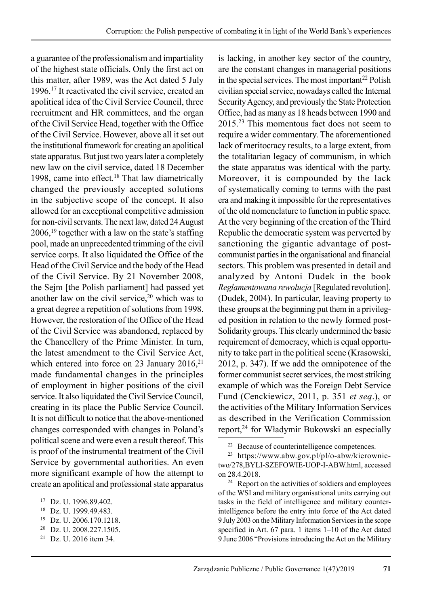a guarantee of the profes sionalism and impartiality of the highest state officials. Only the first act on this matter, after 1989, was the Act dated 5 July 1996.17 It reactivated the civil service, created an apolitical idea of the Civil Service Council, three recruitment and HR committees, and the organ of the Civil Service Head, together with the Office of the Civil Service. However, above all it set out the institutional framework for creating an apolitical state apparatus. But just two years later a completely new law on the civil service, dated 18 December 1998, came into effect.<sup>18</sup> That law diametrically changed the previously accepted solutions in the subjective scope of the concept. It also allowed for an ex ceptional competitive admission for non-civil servants. The next law, dated 24 August 2006,19 together with a law on the state's staffing pool, made an unprecedented trimming of the civil service corps. It also liquidated the Office of the Head of the Civil Service and the body of the Head of the Civil Service. By 21 November 2008, the Sejm [the Polish parliament] had passed yet another law on the civil service, $20$  which was to a great degree a repetition of solutions from 1998. However, the restoration of the Office of the Head of the Civil Service was abandoned, replaced by the Chancellery of the Prime Minister. In turn, the latest amendment to the Civil Service Act, which entered into force on 23 January 2016,<sup>21</sup> made fundamental changes in the principles of employment in higher positions of the civil service. It also liquidated the Civil Service Council, creating in its place the Public Service Council. It is not difficult to notice that the above-mentioned changes corresponded with changes in Poland's political scene and were even a result thereof. This is proof of the instrumental treatment of the Civil Service by governmental authorities. An even more significant example of how the attempt to create an apolitical and professional state apparatus is lacking, in another key sector of the country, are the constant changes in managerial positions in the special services. The most important<sup>22</sup> Polish civilian special service, nowadays called the Internal Security Agency, and previously the State Protection Office, had as many as 18 heads between 1990 and 2015.23 This momentous fact does not seem to require a wider commentary. The aforementioned lack of meritocracy results, to a large extent, from the totalitarian legacy of communism, in which the state apparatus was identical with the party. Moreover, it is compounded by the lack of systematically coming to terms with the past era and making it impossible for the representatives of the old nomenclature to function in public space. At the very beginning of the creation of the Third Republic the democratic system was perverted by sanctioning the gigantic advantage of postcommunist parties in the organisational and financial sectors. This problem was presented in detail and analyzed by Antoni Dudek in the book *Reglamentowana rewolucja* [Regulated revolution]. (Dudek, 2004). In particular, leaving property to these groups at the beginning put them in a privileged position in relation to the newly formed post-Solidarity groups. This clearly undermined the basic requirement of democracy, which is equal opportunity to take part in the political scene (Krasowski, 2012, p. 347). If we add the omnipotence of the former communist secret services, the most striking example of which was the Foreign Debt Service Fund (Cenckiewicz, 2011, p. 351 *et seq*.), or the activities of the Military Information Services as described in the Verification Commission report,24 for Władymir Bukowski an especially

<sup>17</sup> Dz. U. 1996.89.402.

<sup>18</sup> Dz. U. 1999.49.483.

<sup>19</sup> Dz. U. 2006.170.1218.

<sup>20</sup> Dz. U. 2008.227.1505.

<sup>21</sup> Dz. U. 2016 item 34.

<sup>&</sup>lt;sup>22</sup> Because of counterintelligence competences.

 $23$  https://www.abw.gov.pl/pl/o-abw/kierownictwo/278,BYLI-SZEFOWIE-UOP-I-ABW.html, accessed on 28.4.2018.

<sup>24</sup> Report on the activities of soldiers and employees of the WSI and military organisational units carrying out tasks in the field of intelligence and military counterintelligence before the entry into force of the Act dated 9 July 2003 on the Military Information Services in the scope specified in Art. 67 para. 1 items 1–10 of the Act dated 9 June 2006 "Provisions introducing the Act on the Military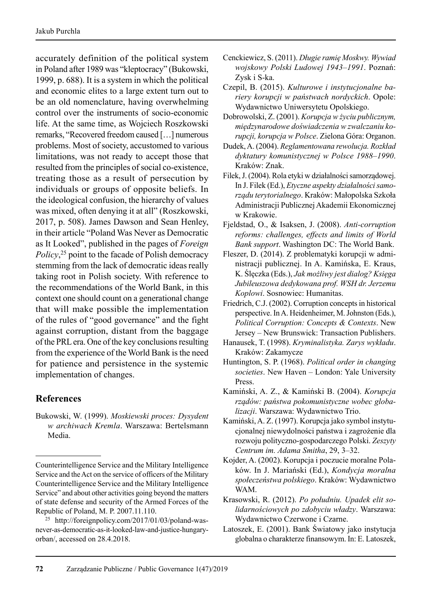accurately definition of the political system in Poland after 1989 was "kleptocracy" (Bukowski, 1999, p. 688). It is a system in which the political and economic elites to a large extent turn out to be an old nomenclature, having overwhelming control over the instruments of socio-economic life. At the same time, as Wojciech Roszkowski remarks, "Recovered freedom caused […] numerous problems. Most of society, accustomed to various limitations, was not ready to accept those that resulted from the principles of social co-existence, treating those as a result of persecution by individuals or groups of opposite beliefs. In the ideological confusion, the hierarchy of values was mixed, often denying it at all" (Roszkowski, 2017, p. 508). James Dawson and Sean Henley, in their article "Poland Was Never as Democratic as It Looked", published in the pages of *Foreign Policy*, 25 point to the facade of Polish democracy stemming from the lack of democratic ideas really taking root in Polish society. With reference to the recommendations of the World Bank, in this context one should count on a generational change that will make possible the implementation of the rules of "good governance" and the fight against corruption, distant from the baggage of the PRL era. One of the key conclusions resulting from the experience of the World Bank is the need for patience and persistence in the systemic implementation of changes.

### **References**

Bukowski, W. (1999). *Moskiewski proces: Dysydent w archiwach Kremla*. Warszawa: Bertelsmann Media.

- Cenckiewicz, S. (2011). *Długie ramię Moskwy. Wywiad wojskowy Polski Ludowej 1943–1991*. Poznań: Zysk i S-ka.
- Czepil, B. (2015). *Kulturowe i instytucjonalne bariery korupcji w państwach nordyckich*. Opole: Wydawnictwo Uniwersytetu Opolskiego.
- Dobrowolski, Z. (2001). *Korupcja w życiu publicznym, międzynarodowe doświadczenia w zwalczaniu korupcji, korupcja w Polsce*. Zielona Góra: Organon.
- Dudek, A. (2004). *Reglamentowana rewolucja. Rozkład dyktatury komunistycznej w Polsce 1988–1990*. Kraków: Znak.
- Filek, J. (2004). Rola etyki w działalności samorządowej. In J. Filek (Ed.), *Etyczne aspekty działalności samorządu terytorialnego*. Kraków: Małopolska Szkoła Administracji Publicznej Akademii Ekonomicznej w Krakowie.
- Fjeldstad, O., & Isaksen, J. (2008). *Anti-corruption reforms: challenges, effects and limits of World Bank support*. Washington DC: The World Bank.
- Fleszer, D. (2014). Z problematyki korupcji w administracji publicznej. In A. Kamińska, E. Kraus, K. Ślęczka (Eds.), *Jak możliwy jest dialog? Księga Jubileuszowa dedykowana prof. WSH dr. Jerzemu Koplowi*. Sosnowiec: Humanitas.
- Friedrich, C.J. (2002). Corruption concepts in historical perspective. In A. Heidenheimer, M. Johnston (Eds.), *Political Corruption: Concepts & Contexts*. New Jersey – New Brunswick: Transaction Publishers.
- Hanausek, T. (1998). *Kryminalistyka. Zarys wykładu*. Kraków: Zakamycze
- Huntington, S. P. (1968). *Political order in changing societies*. New Haven – London: Yale University Press.
- Kamiński, A. Z., & Kamiński B. (2004). *Korupcja rządów: państwa pokomunistyczne wobec globalizacji*. Warszawa: Wydawnictwo Trio.
- Kamiński, A. Z. (1997). Korupcja jako symbol instytucjonalnej niewydolności państwa i zagrożenie dla rozwoju polityczno-gospodarczego Polski. *Zeszyty Centrum im. Adama Smitha*, 29, 3–32.
- Kojder, A. (2002). Korupcja i poczucie moralne Polaków. In J. Mariański (Ed.), *Kondycja moralna społeczeństwa polskiego*. Kraków: Wydawnictwo WAM.
- Krasowski, R. (2012). *Po południu. Upadek elit solidarnościowych po zdobyciu władzy*. Warszawa: Wydawnictwo Czerwone i Czarne.
- Latoszek, E. (2001). Bank Światowy jako instytucja globalna o charakterze finansowym. In: E. Latoszek,

Counterintelligence Service and the Military Intelligence Service and the Act on the service of officers of the Military Counterintelligence Service and the Military Intelligence Service" and about other activities going beyond the matters of state defense and security of the Armed Forces of the Republic of Poland, M. P. 2007.11.110.

<sup>25</sup> http://foreignpolicy.com/2017/01/03/poland-wasnever-as-democratic-as-it-looked-law-and-justice-hungaryorban/, accessed on 28.4.2018.